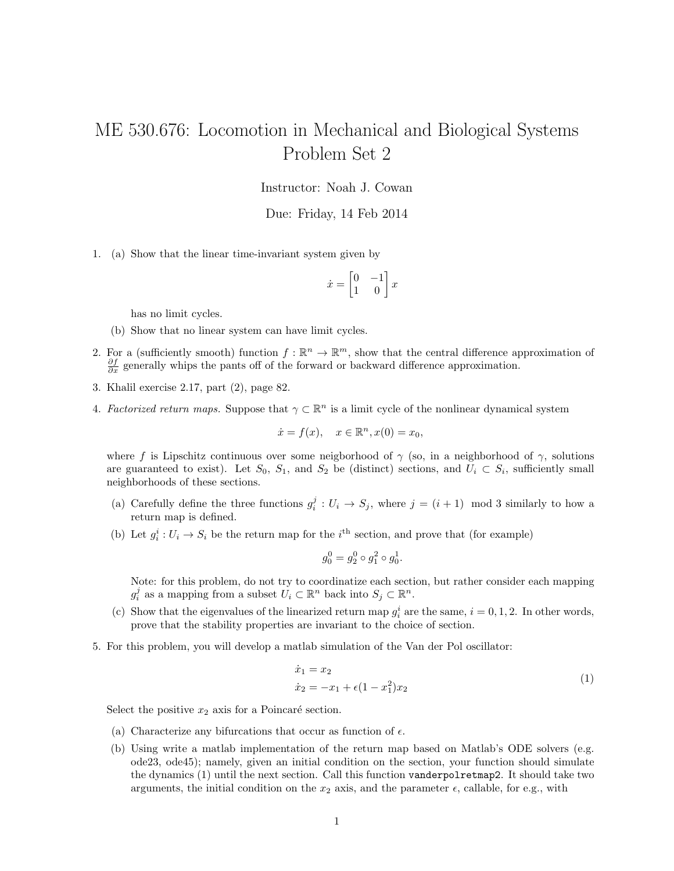## ME 530.676: Locomotion in Mechanical and Biological Systems Problem Set 2

Instructor: Noah J. Cowan

Due: Friday, 14 Feb 2014

1. (a) Show that the linear time-invariant system given by

$$
\dot{x} = \begin{bmatrix} 0 & -1 \\ 1 & 0 \end{bmatrix} x
$$

has no limit cycles.

- (b) Show that no linear system can have limit cycles.
- 2. For a (sufficiently smooth) function  $f : \mathbb{R}^n \to \mathbb{R}^m$ , show that the central difference approximation of  $\frac{\partial f}{\partial x}$  generally whips the pants off of the forward or backward difference approximation.
- 3. Khalil exercise 2.17, part (2), page 82.
- 4. Factorized return maps. Suppose that  $\gamma \subset \mathbb{R}^n$  is a limit cycle of the nonlinear dynamical system

$$
\dot{x} = f(x), \quad x \in \mathbb{R}^n, x(0) = x_0,
$$

where f is Lipschitz continuous over some neigborhood of  $\gamma$  (so, in a neighborhood of  $\gamma$ , solutions are guaranteed to exist). Let  $S_0$ ,  $S_1$ , and  $S_2$  be (distinct) sections, and  $U_i \subset S_i$ , sufficiently small neighborhoods of these sections.

- (a) Carefully define the three functions  $g_i^j: U_i \to S_j$ , where  $j = (i + 1) \mod 3$  similarly to how a return map is defined.
- (b) Let  $g_i^i: U_i \to S_i$  be the return map for the  $i^{\text{th}}$  section, and prove that (for example)

$$
g_0^0 = g_2^0 \circ g_1^2 \circ g_0^1.
$$

Note: for this problem, do not try to coordinatize each section, but rather consider each mapping  $g_i^j$  as a mapping from a subset  $U_i \subset \mathbb{R}^n$  back into  $S_j \subset \mathbb{R}^n$ .

- (c) Show that the eigenvalues of the linearized return map  $g_i^i$  are the same,  $i = 0, 1, 2$ . In other words, prove that the stability properties are invariant to the choice of section.
- 5. For this problem, you will develop a matlab simulation of the Van der Pol oscillator:

$$
\begin{aligned} \dot{x}_1 &= x_2\\ \dot{x}_2 &= -x_1 + \epsilon (1 - x_1^2) x_2 \end{aligned} \tag{1}
$$

Select the positive  $x_2$  axis for a Poincaré section.

- (a) Characterize any bifurcations that occur as function of  $\epsilon$ .
- (b) Using write a matlab implementation of the return map based on Matlab's ODE solvers (e.g. ode23, ode45); namely, given an initial condition on the section, your function should simulate the dynamics (1) until the next section. Call this function vanderpolretmap2. It should take two arguments, the initial condition on the  $x_2$  axis, and the parameter  $\epsilon$ , callable, for e.g., with